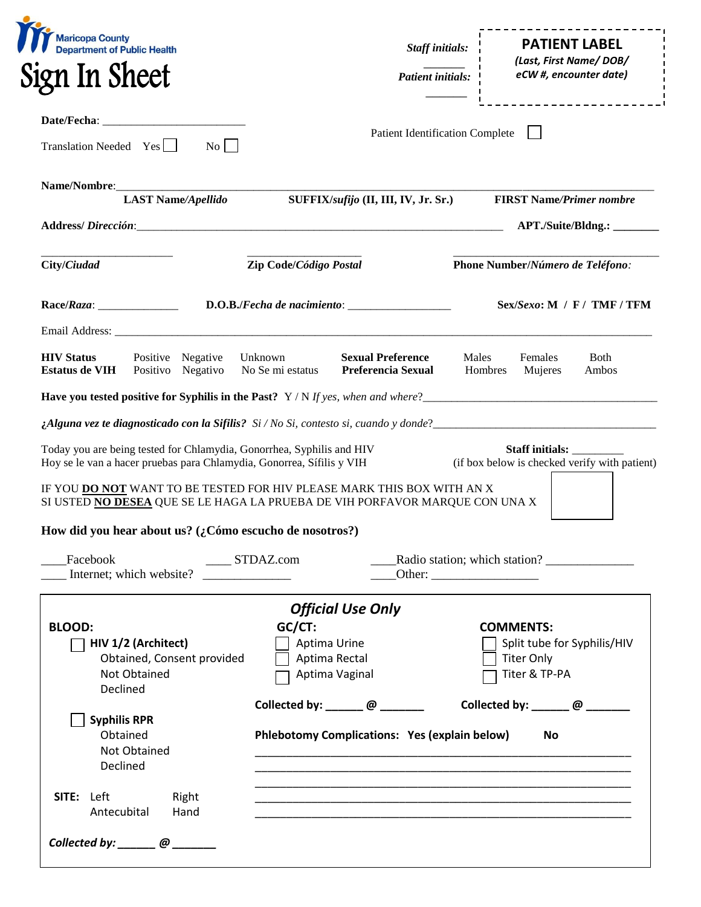| <b>Maricopa County</b><br><b>Department of Public Health</b><br>n In Sheet;                                                                                                                                                                                                                                                        |                                                                        | <b>Staff initials:</b><br><b>Patient initials:</b> | <b>PATIENT LABEL</b><br>(Last, First Name/DOB/<br>eCW #, encounter date) |                                                                         |
|------------------------------------------------------------------------------------------------------------------------------------------------------------------------------------------------------------------------------------------------------------------------------------------------------------------------------------|------------------------------------------------------------------------|----------------------------------------------------|--------------------------------------------------------------------------|-------------------------------------------------------------------------|
| Translation Needed Yes<br>$\overline{N_0}$                                                                                                                                                                                                                                                                                         |                                                                        | <b>Patient Identification Complete</b>             |                                                                          | _________________                                                       |
| <b>LAST Name/Apellido</b>                                                                                                                                                                                                                                                                                                          |                                                                        | SUFFIX/sufijo (II, III, IV, Jr. Sr.)               |                                                                          | <b>FIRST Name/Primer nombre</b>                                         |
|                                                                                                                                                                                                                                                                                                                                    |                                                                        |                                                    |                                                                          | APT./Suite/Bldng.: _________                                            |
| City/Ciudad                                                                                                                                                                                                                                                                                                                        | Zip Code/Código Postal                                                 |                                                    | Phone Number/Número de Teléfono:                                         |                                                                         |
|                                                                                                                                                                                                                                                                                                                                    |                                                                        |                                                    |                                                                          | $Sex/Sexo$ : M / F / TMF / TFM                                          |
| <b>HIV Status</b><br>Positive Negative<br><b>Estatus de VIH</b><br>Positivo Negativo                                                                                                                                                                                                                                               | Unknown<br>No Se mi estatus                                            | <b>Sexual Preference</b><br>Preferencia Sexual     | Males<br>Hombres                                                         | Females<br><b>Both</b><br>Mujeres<br>Ambos                              |
| Have you tested positive for Syphilis in the Past? Y/N If yes, when and where?<br><i>Alguna vez te diagnosticado con la Sifilis?</i> Si / No Si, contesto si, cuando y donde?<br><b>Alguna vez te diagnosticado con la Sifilis?</b> Si / No Si, contesto si, cuando y donde?<br><b>Alguna vez te diagnosticado con la Sifilis?</b> |                                                                        |                                                    |                                                                          |                                                                         |
| Today you are being tested for Chlamydia, Gonorrhea, Syphilis and HIV<br>Hoy se le van a hacer pruebas para Chlamydia, Gonorrea, Sífilis y VIH<br>IF YOU DO NOT WANT TO BE TESTED FOR HIV PLEASE MARK THIS BOX WITH AN X<br>SI USTED NO DESEA QUE SE LE HAGA LA PRUEBA DE VIH PORFAVOR MARQUE CON UNA X                            |                                                                        |                                                    |                                                                          | <b>Staff initials:</b><br>(if box below is checked verify with patient) |
| How did you hear about us? (¿Cómo escucho de nosotros?)                                                                                                                                                                                                                                                                            |                                                                        |                                                    |                                                                          |                                                                         |
| Facebook<br>Internet; which website?                                                                                                                                                                                                                                                                                               | $\overline{\phantom{0}}$ STDAZ.com<br><u> 1990 - Jan Alexandro III</u> |                                                    |                                                                          | Radio station; which station?                                           |
|                                                                                                                                                                                                                                                                                                                                    |                                                                        | <b>Official Use Only</b>                           |                                                                          |                                                                         |
| <b>BLOOD:</b><br>HIV 1/2 (Architect)<br>Obtained, Consent provided<br>Not Obtained<br>Declined                                                                                                                                                                                                                                     | $GC/CT$ :<br>Aptima Urine<br>Aptima Rectal<br>Aptima Vaginal           |                                                    | <b>COMMENTS:</b>                                                         | Split tube for Syphilis/HIV<br><b>Titer Only</b><br>Titer & TP-PA       |
| <b>Syphilis RPR</b><br>Obtained<br>Not Obtained<br>Declined                                                                                                                                                                                                                                                                        | Collected by: $\Box$ @ $\Box$                                          | Phlebotomy Complications: Yes (explain below)      |                                                                          | Collected by: $\qquad \qquad \qquad \omega$<br>No                       |
| <b>SITE:</b> Left<br>Right                                                                                                                                                                                                                                                                                                         |                                                                        |                                                    |                                                                          |                                                                         |
| Antecubital<br>Hand                                                                                                                                                                                                                                                                                                                |                                                                        |                                                    |                                                                          |                                                                         |

 $\overline{\phantom{a}}$